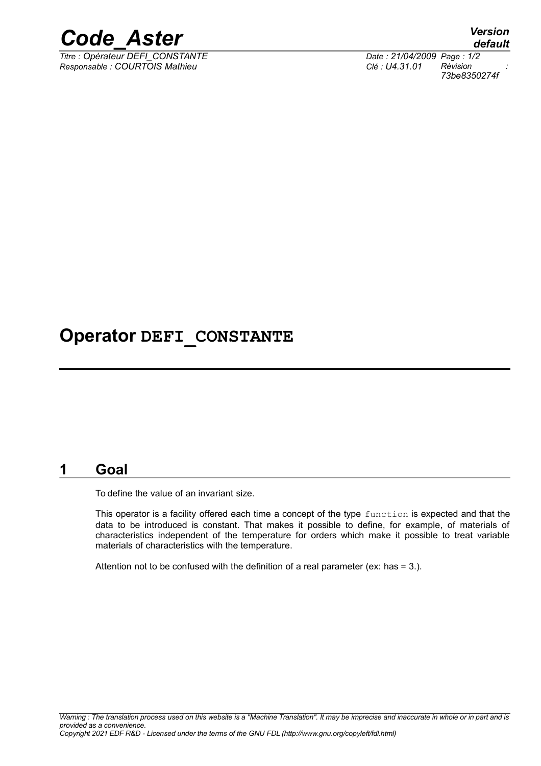

*Titre : Opérateur DEFI\_CONSTANTE Date : 21/04/2009 Page : 1/2 Responsable : COURTOIS Mathieu Clé : U4.31.01 Révision :*

*default 73be8350274f*

## **Operator DEFI\_CONSTANTE**

### **1 Goal**

To define the value of an invariant size.

This operator is a facility offered each time a concept of the type function is expected and that the data to be introduced is constant. That makes it possible to define, for example, of materials of characteristics independent of the temperature for orders which make it possible to treat variable materials of characteristics with the temperature.

Attention not to be confused with the definition of a real parameter (ex: has = 3.).